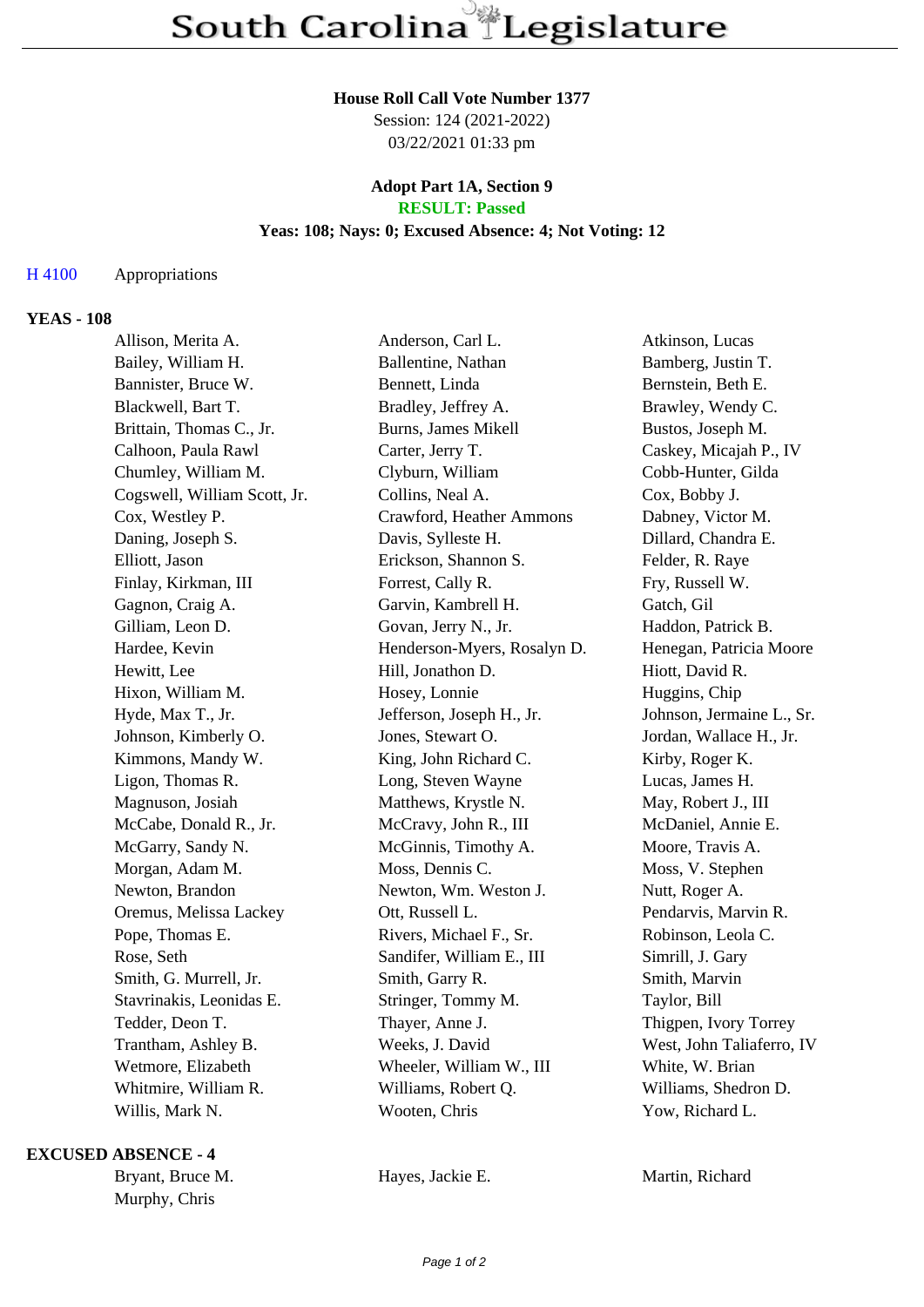### **House Roll Call Vote Number 1377**

Session: 124 (2021-2022) 03/22/2021 01:33 pm

### **Adopt Part 1A, Section 9 RESULT: Passed**

### **Yeas: 108; Nays: 0; Excused Absence: 4; Not Voting: 12**

# H 4100 Appropriations

## **YEAS - 108**

| Allison, Merita A.           | Anderson, Carl L.           | Atkinson, Lucas           |
|------------------------------|-----------------------------|---------------------------|
| Bailey, William H.           | Ballentine, Nathan          | Bamberg, Justin T.        |
| Bannister, Bruce W.          | Bennett, Linda              | Bernstein, Beth E.        |
| Blackwell, Bart T.           | Bradley, Jeffrey A.         | Brawley, Wendy C.         |
| Brittain, Thomas C., Jr.     | Burns, James Mikell         | Bustos, Joseph M.         |
| Calhoon, Paula Rawl          | Carter, Jerry T.            | Caskey, Micajah P., IV    |
| Chumley, William M.          | Clyburn, William            | Cobb-Hunter, Gilda        |
| Cogswell, William Scott, Jr. | Collins, Neal A.            | Cox, Bobby J.             |
| Cox, Westley P.              | Crawford, Heather Ammons    | Dabney, Victor M.         |
| Daning, Joseph S.            | Davis, Sylleste H.          | Dillard, Chandra E.       |
| Elliott, Jason               | Erickson, Shannon S.        | Felder, R. Raye           |
| Finlay, Kirkman, III         | Forrest, Cally R.           | Fry, Russell W.           |
| Gagnon, Craig A.             | Garvin, Kambrell H.         | Gatch, Gil                |
| Gilliam, Leon D.             | Govan, Jerry N., Jr.        | Haddon, Patrick B.        |
| Hardee, Kevin                | Henderson-Myers, Rosalyn D. | Henegan, Patricia Moore   |
| Hewitt, Lee                  | Hill, Jonathon D.           | Hiott, David R.           |
| Hixon, William M.            | Hosey, Lonnie               | Huggins, Chip             |
| Hyde, Max T., Jr.            | Jefferson, Joseph H., Jr.   | Johnson, Jermaine L., Sr. |
| Johnson, Kimberly O.         | Jones, Stewart O.           | Jordan, Wallace H., Jr.   |
| Kimmons, Mandy W.            | King, John Richard C.       | Kirby, Roger K.           |
| Ligon, Thomas R.             | Long, Steven Wayne          | Lucas, James H.           |
| Magnuson, Josiah             | Matthews, Krystle N.        | May, Robert J., III       |
| McCabe, Donald R., Jr.       | McCravy, John R., III       | McDaniel, Annie E.        |
| McGarry, Sandy N.            | McGinnis, Timothy A.        | Moore, Travis A.          |
| Morgan, Adam M.              | Moss, Dennis C.             | Moss, V. Stephen          |
| Newton, Brandon              | Newton, Wm. Weston J.       | Nutt, Roger A.            |
| Oremus, Melissa Lackey       | Ott, Russell L.             | Pendarvis, Marvin R.      |
| Pope, Thomas E.              | Rivers, Michael F., Sr.     | Robinson, Leola C.        |
| Rose, Seth                   | Sandifer, William E., III   | Simrill, J. Gary          |
| Smith, G. Murrell, Jr.       | Smith, Garry R.             | Smith, Marvin             |
| Stavrinakis, Leonidas E.     | Stringer, Tommy M.          | Taylor, Bill              |
| Tedder, Deon T.              | Thayer, Anne J.             | Thigpen, Ivory Torrey     |
| Trantham, Ashley B.          | Weeks, J. David             | West, John Taliaferro, IV |
| Wetmore, Elizabeth           | Wheeler, William W., III    | White, W. Brian           |
| Whitmire, William R.         | Williams, Robert Q.         | Williams, Shedron D.      |
| Willis, Mark N.              | Wooten, Chris               | Yow, Richard L.           |

### **EXCUSED ABSENCE - 4**

Murphy, Chris

Bryant, Bruce M. **Hayes, Jackie E.** Martin, Richard